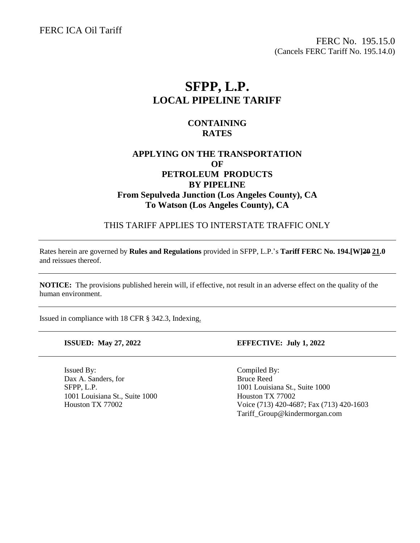FERC ICA Oil Tariff

FERC No. 195.15.0 (Cancels FERC Tariff No. 195.14.0)

# **SFPP, L.P. LOCAL PIPELINE TARIFF**

### **CONTAINING RATES**

### **APPLYING ON THE TRANSPORTATION OF PETROLEUM PRODUCTS BY PIPELINE From Sepulveda Junction (Los Angeles County), CA To Watson (Los Angeles County), CA**

THIS TARIFF APPLIES TO INTERSTATE TRAFFIC ONLY

Rates herein are governed by **Rules and Regulations** provided in SFPP, L.P.'s **Tariff FERC No. 194.[W]20 21.0** and reissues thereof.

**NOTICE:** The provisions published herein will, if effective, not result in an adverse effect on the quality of the human environment.

Issued in compliance with 18 CFR § 342.3, Indexing.

Issued By: Compiled By: Dax A. Sanders, for Bruce Reed SFPP, L.P. 1001 Louisiana St., Suite 1000 1001 Louisiana St., Suite 1000 Houston TX 77002

#### **ISSUED: May 27, 2022 EFFECTIVE: July 1, 2022**

Houston TX 77002 Voice (713) 420-4687; Fax (713) 420-1603 Tariff\_Group@kindermorgan.com